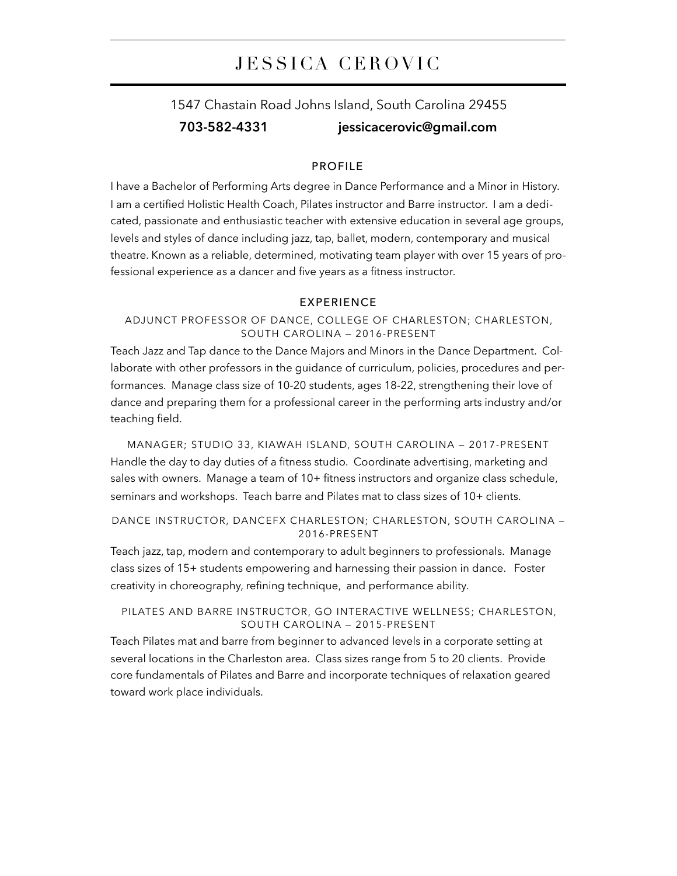# JESSICA CEROVIC

# 1547 Chastain Road Johns Island, South Carolina 29455 **703-582-4331 [jessicacerovic@gmail.com](mailto:jessicacerovic@gmail.com)**

# PROFILE

I have a Bachelor of Performing Arts degree in Dance Performance and a Minor in History. I am a certified Holistic Health Coach, Pilates instructor and Barre instructor. I am a dedicated, passionate and enthusiastic teacher with extensive education in several age groups, levels and styles of dance including jazz, tap, ballet, modern, contemporary and musical theatre. Known as a reliable, determined, motivating team player with over 15 years of professional experience as a dancer and five years as a fitness instructor.

#### EXPERIENCE

## ADJUNCT PROFESSOR OF DANCE, COLLEGE OF CHARLESTON; CHARLESTON, SOUTH CAROLINA — 2016-PRESENT

Teach Jazz and Tap dance to the Dance Majors and Minors in the Dance Department. Collaborate with other professors in the guidance of curriculum, policies, procedures and performances. Manage class size of 10-20 students, ages 18-22, strengthening their love of dance and preparing them for a professional career in the performing arts industry and/or teaching field.

MANAGER; STUDIO 33, KIAWAH ISLAND, SOUTH CAROLINA — 2017-PRESENT Handle the day to day duties of a fitness studio. Coordinate advertising, marketing and sales with owners. Manage a team of 10+ fitness instructors and organize class schedule, seminars and workshops. Teach barre and Pilates mat to class sizes of 10+ clients.

## DANCE INSTRUCTOR, DANCEFX CHARLESTON; CHARLESTON, SOUTH CAROLINA — 2016-PRESENT

Teach jazz, tap, modern and contemporary to adult beginners to professionals. Manage class sizes of 15+ students empowering and harnessing their passion in dance. Foster creativity in choreography, refining technique, and performance ability.

# PILATES AND BARRE INSTRUCTOR, GO INTERACTIVE WELLNESS; CHARLESTON, SOUTH CAROLINA — 2015-PRESENT

Teach Pilates mat and barre from beginner to advanced levels in a corporate setting at several locations in the Charleston area. Class sizes range from 5 to 20 clients. Provide core fundamentals of Pilates and Barre and incorporate techniques of relaxation geared toward work place individuals.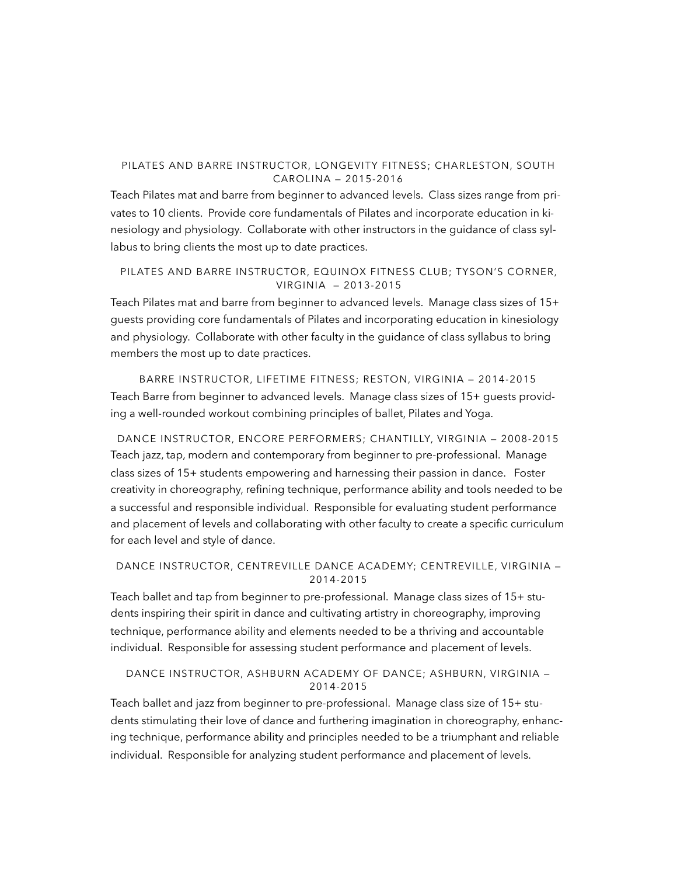## PILATES AND BARRE INSTRUCTOR, LONGEVITY FITNESS; CHARLESTON, SOUTH CAROLINA — 2015-2016

Teach Pilates mat and barre from beginner to advanced levels. Class sizes range from privates to 10 clients. Provide core fundamentals of Pilates and incorporate education in kinesiology and physiology. Collaborate with other instructors in the guidance of class syllabus to bring clients the most up to date practices.

PILATES AND BARRE INSTRUCTOR, EQUINOX FITNESS CLUB; TYSON'S CORNER, VIRGINIA — 2013-2015

Teach Pilates mat and barre from beginner to advanced levels. Manage class sizes of 15+ guests providing core fundamentals of Pilates and incorporating education in kinesiology and physiology. Collaborate with other faculty in the guidance of class syllabus to bring members the most up to date practices.

BARRE INSTRUCTOR, LIFETIME FITNESS; RESTON, VIRGINIA — 2014-2015 Teach Barre from beginner to advanced levels. Manage class sizes of 15+ guests providing a well-rounded workout combining principles of ballet, Pilates and Yoga.

DANCE INSTRUCTOR, ENCORE PERFORMERS; CHANTILLY, VIRGINIA — 2008-2015 Teach jazz, tap, modern and contemporary from beginner to pre-professional. Manage class sizes of 15+ students empowering and harnessing their passion in dance. Foster creativity in choreography, refining technique, performance ability and tools needed to be a successful and responsible individual. Responsible for evaluating student performance and placement of levels and collaborating with other faculty to create a specific curriculum for each level and style of dance.

# DANCE INSTRUCTOR, CENTREVILLE DANCE ACADEMY; CENTREVILLE, VIRGINIA — 2014-2015

Teach ballet and tap from beginner to pre-professional. Manage class sizes of 15+ students inspiring their spirit in dance and cultivating artistry in choreography, improving technique, performance ability and elements needed to be a thriving and accountable individual. Responsible for assessing student performance and placement of levels.

# DANCE INSTRUCTOR, ASHBURN ACADEMY OF DANCE; ASHBURN, VIRGINIA — 2014-2015

Teach ballet and jazz from beginner to pre-professional. Manage class size of 15+ students stimulating their love of dance and furthering imagination in choreography, enhancing technique, performance ability and principles needed to be a triumphant and reliable individual. Responsible for analyzing student performance and placement of levels.